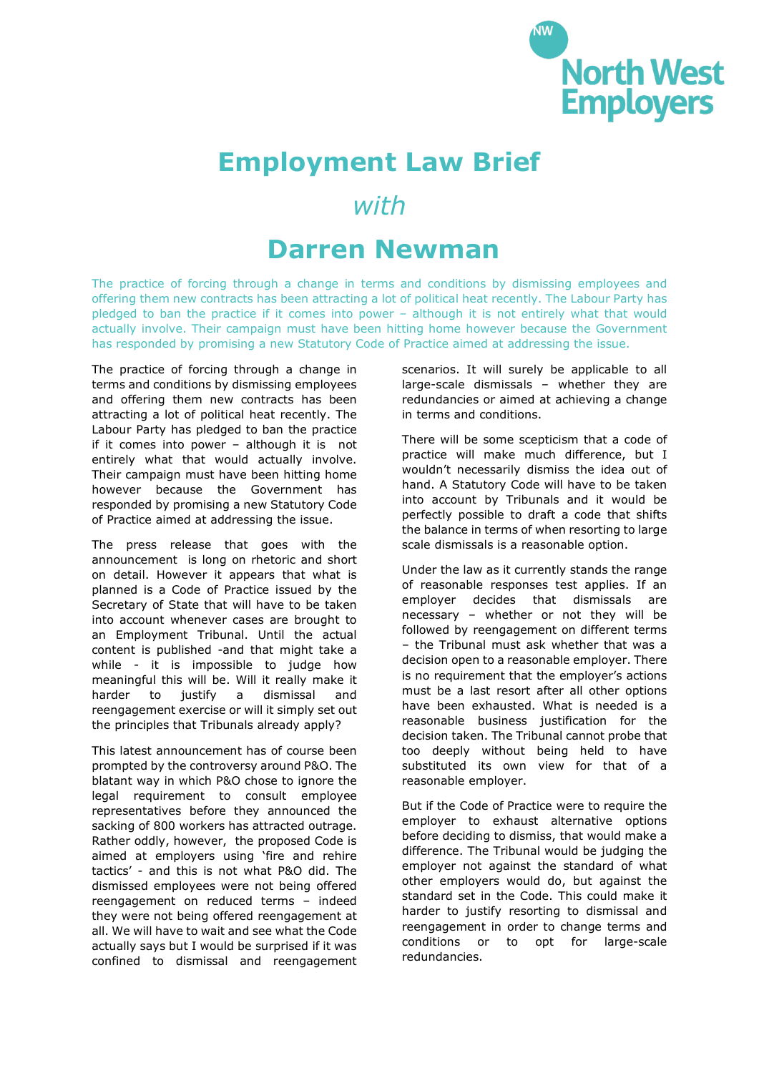

## **Employment Law Brief**

## *with*

## **Darren Newman**

The practice of forcing through a change in terms and conditions by dismissing employees and offering them new contracts has been attracting a lot of political heat recently. The Labour Party has pledged to ban the practice if it comes into power – although it is not entirely what that would actually involve. Their campaign must have been hitting home however because the Government has responded by promising a new Statutory Code of Practice aimed at addressing the issue.

The practice of forcing through a change in terms and conditions by dismissing employees and offering them new contracts has been attracting a lot of political heat recently. The Labour Party has pledged to ban the practice if it comes into power – although it is not entirely what that would actually involve. Their campaign must have been hitting home however because the Government has responded by promising a new Statutory Code of Practice aimed at addressing the issue.

The press release that goes with the announcement is long on rhetoric and short on detail. However it appears that what is planned is a Code of Practice issued by the Secretary of State that will have to be taken into account whenever cases are brought to an Employment Tribunal. Until the actual content is published -and that might take a while - it is impossible to judge how meaningful this will be. Will it really make it harder to justify a dismissal and reengagement exercise or will it simply set out the principles that Tribunals already apply?

This latest announcement has of course been prompted by the controversy around P&O. The blatant way in which P&O chose to ignore the legal requirement to consult employee representatives before they announced the sacking of 800 workers has attracted outrage. Rather oddly, however, the proposed Code is aimed at employers using 'fire and rehire tactics' - and this is not what P&O did. The dismissed employees were not being offered reengagement on reduced terms – indeed they were not being offered reengagement at all. We will have to wait and see what the Code actually says but I would be surprised if it was confined to dismissal and reengagement scenarios. It will surely be applicable to all large-scale dismissals – whether they are redundancies or aimed at achieving a change in terms and conditions.

There will be some scepticism that a code of practice will make much difference, but I wouldn't necessarily dismiss the idea out of hand. A Statutory Code will have to be taken into account by Tribunals and it would be perfectly possible to draft a code that shifts the balance in terms of when resorting to large scale dismissals is a reasonable option.

Under the law as it currently stands the range of reasonable responses test applies. If an employer decides that dismissals are necessary – whether or not they will be followed by reengagement on different terms – the Tribunal must ask whether that was a decision open to a reasonable employer. There is no requirement that the employer's actions must be a last resort after all other options have been exhausted. What is needed is a reasonable business justification for the decision taken. The Tribunal cannot probe that too deeply without being held to have substituted its own view for that of a reasonable employer.

But if the Code of Practice were to require the employer to exhaust alternative options before deciding to dismiss, that would make a difference. The Tribunal would be judging the employer not against the standard of what other employers would do, but against the standard set in the Code. This could make it harder to justify resorting to dismissal and reengagement in order to change terms and conditions or to opt for large-scale redundancies.